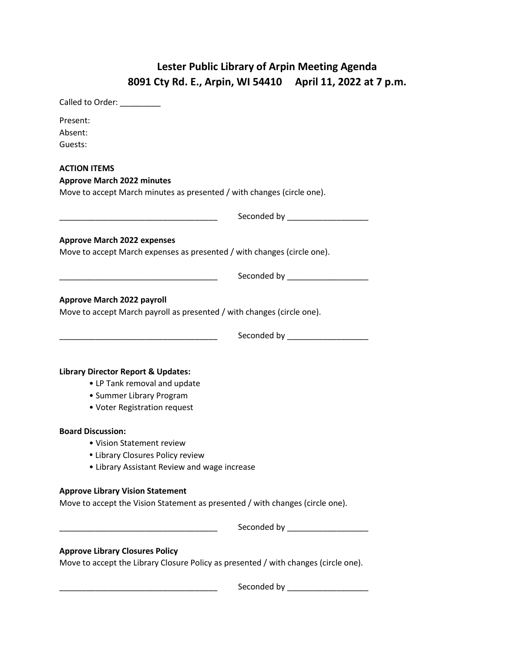## **Lester Public Library of Arpin Meeting Agenda 8091 Cty Rd. E., Arpin, WI 54410 April 11, 2022 at 7 p.m.**

| Called to Order: National Called to Order:                                                                    |                                 |
|---------------------------------------------------------------------------------------------------------------|---------------------------------|
| Present:                                                                                                      |                                 |
| Absent:                                                                                                       |                                 |
| Guests:                                                                                                       |                                 |
| <b>ACTION ITEMS</b>                                                                                           |                                 |
| <b>Approve March 2022 minutes</b>                                                                             |                                 |
| Move to accept March minutes as presented / with changes (circle one).                                        |                                 |
|                                                                                                               | Seconded by __________________  |
|                                                                                                               |                                 |
| <b>Approve March 2022 expenses</b><br>Move to accept March expenses as presented / with changes (circle one). |                                 |
|                                                                                                               |                                 |
|                                                                                                               |                                 |
| <b>Approve March 2022 payroll</b>                                                                             |                                 |
| Move to accept March payroll as presented / with changes (circle one).                                        |                                 |
|                                                                                                               |                                 |
|                                                                                                               |                                 |
|                                                                                                               |                                 |
|                                                                                                               |                                 |
| <b>Library Director Report &amp; Updates:</b>                                                                 |                                 |
| • LP Tank removal and update                                                                                  |                                 |
| • Summer Library Program                                                                                      |                                 |
| • Voter Registration request                                                                                  |                                 |
| <b>Board Discussion:</b>                                                                                      |                                 |
| • Vision Statement review                                                                                     |                                 |
| • Library Closures Policy review                                                                              |                                 |
| • Library Assistant Review and wage increase                                                                  |                                 |
| <b>Approve Library Vision Statement</b>                                                                       |                                 |
| Move to accept the Vision Statement as presented / with changes (circle one).                                 |                                 |
|                                                                                                               |                                 |
|                                                                                                               | Seconded by ___________________ |
| <b>Approve Library Closures Policy</b>                                                                        |                                 |
| Move to accept the Library Closure Policy as presented / with changes (circle one).                           |                                 |
|                                                                                                               |                                 |